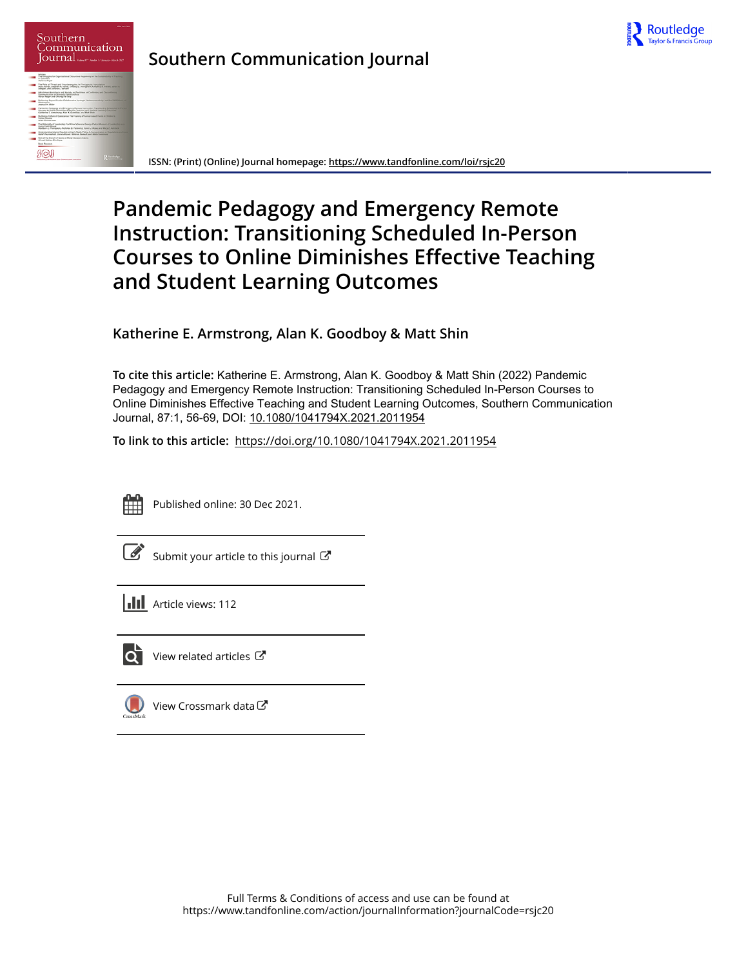

| Southern<br>Communication<br>ournal<br>These R.C. Stades L. Jamesy Mook 2022                                                                                                                                                             |
|------------------------------------------------------------------------------------------------------------------------------------------------------------------------------------------------------------------------------------------|
| Aniches<br>The Binupples for Organizational Discursive Hagemony on the Sustainability of Franking<br>in Committee<br><b>Allriana Angel</b>                                                                                               |
| The Role of Throat and Counterarguing in Therapeutic Inoculation<br>Bolt Awara, Elephan A. Rama, Litaburg L. Drittagham, Kimbathy A. Pacific, Sandh A.<br>Geogen, and Johana L. Rechall                                                  |
| Afterheart Autobaca and Ancialy as Predching of Conference and Disconference<br>Communication in Bismania Peristinguistics<br>Nerry Blesser and Chiung-Ya Tang-                                                                          |
| Bolsteing Reyard Pushe, Collaborative Accitazia, Notescoverability, and the 1963 March of<br>Washington<br><b>Charles &amp; Alvier</b>                                                                                                   |
| Pandemic Pediatric and Grantenia Remote Instruction. Transitioning School and in Panzon<br>Courses to Critina Committee Effective Teaching and Student Learning Collisioners<br>Kelhering E. Americans, Alan K. Goodhay, and Mell Shirt. |
| Building a Culture of Colomework The Francisc of Asimul Association Children in<br><b>Furnish Mouran</b><br>Afer Zinnernan                                                                                                               |
| The Materiality of Leadership Fort Kinoc's Centeral Centrols Parkin Microsoft of Leadership on a st<br>Livens Fueld Mary of<br>Hofare L. Personne, Nobelse & Pelegius Kentral Rose and Mary Z Automo-                                    |
| Understanding Islamic Peguidia of Iran's Mixths Policy & Concentration on Regulations and Local<br>Hotel Pourrowhall, Jorsel Algunor, Markrow Earnoch, and Noda Eatermann                                                                |
| Balla of the Brigain of Source in Moral Decision-making<br>Ahmet Holing Stechuse                                                                                                                                                         |
| <b>Book Rowlews</b>                                                                                                                                                                                                                      |
|                                                                                                                                                                                                                                          |

**Southern Communication Journal**

**ISSN: (Print) (Online) Journal homepage:<https://www.tandfonline.com/loi/rsjc20>**

# **Pandemic Pedagogy and Emergency Remote Instruction: Transitioning Scheduled In-Person Courses to Online Diminishes Effective Teaching and Student Learning Outcomes**

**Katherine E. Armstrong, Alan K. Goodboy & Matt Shin**

**To cite this article:** Katherine E. Armstrong, Alan K. Goodboy & Matt Shin (2022) Pandemic Pedagogy and Emergency Remote Instruction: Transitioning Scheduled In-Person Courses to Online Diminishes Effective Teaching and Student Learning Outcomes, Southern Communication Journal, 87:1, 56-69, DOI: [10.1080/1041794X.2021.2011954](https://www.tandfonline.com/action/showCitFormats?doi=10.1080/1041794X.2021.2011954)

**To link to this article:** <https://doi.org/10.1080/1041794X.2021.2011954>



Published online: 30 Dec 2021.

|--|

[Submit your article to this journal](https://www.tandfonline.com/action/authorSubmission?journalCode=rsjc20&show=instructions)  $\mathbb{Z}$ 

 $\overrightarrow{Q}$  [View related articles](https://www.tandfonline.com/doi/mlt/10.1080/1041794X.2021.2011954)  $\overrightarrow{C}$ 

views: 112



[View Crossmark data](http://crossmark.crossref.org/dialog/?doi=10.1080/1041794X.2021.2011954&domain=pdf&date_stamp=2021-12-30)<sup>C</sup>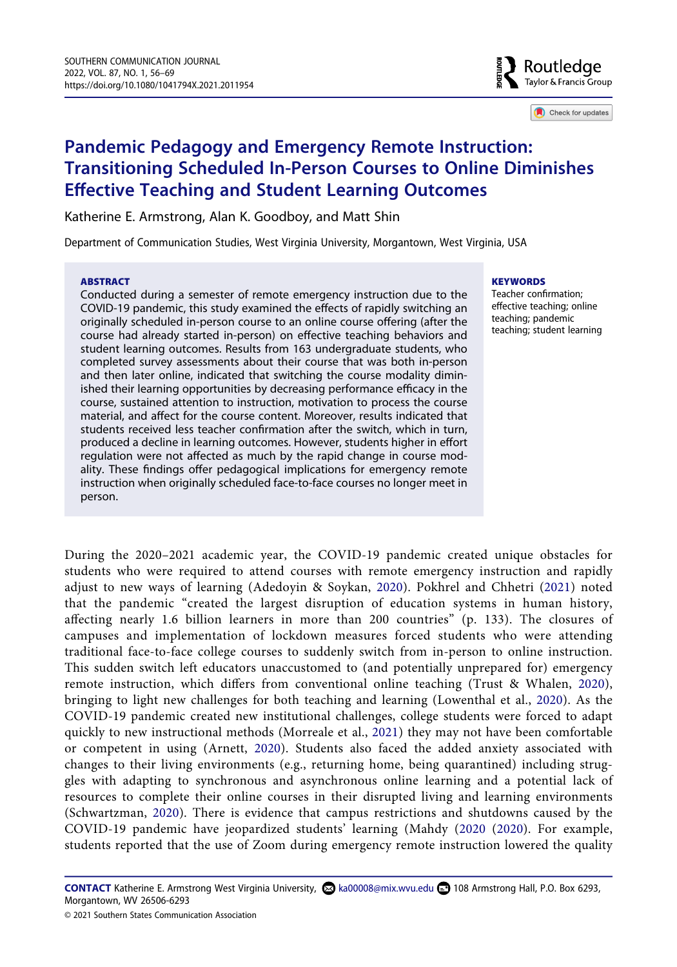Routledge Taylor & Francis Group

Check for updates

# **Pandemic Pedagogy and Emergency Remote Instruction: Transitioning Scheduled In-Person Courses to Online Diminishes Effective Teaching and Student Learning Outcomes**

Katherine E. Armstrong, Alan K. Goodboy, and Matt Shin

Department of Communication Studies, West Virginia University, Morgantown, West Virginia, USA

#### **ABSTRACT**

Conducted during a semester of remote emergency instruction due to the COVID-19 pandemic, this study examined the effects of rapidly switching an originally scheduled in-person course to an online course offering (after the course had already started in-person) on effective teaching behaviors and student learning outcomes. Results from 163 undergraduate students, who completed survey assessments about their course that was both in-person and then later online, indicated that switching the course modality diminished their learning opportunities by decreasing performance efficacy in the course, sustained attention to instruction, motivation to process the course material, and affect for the course content. Moreover, results indicated that students received less teacher confirmation after the switch, which in turn, produced a decline in learning outcomes. However, students higher in effort regulation were not affected as much by the rapid change in course modality. These findings offer pedagogical implications for emergency remote instruction when originally scheduled face-to-face courses no longer meet in person.

#### **KEYWORDS**

Teacher confirmation; effective teaching; online teaching; pandemic teaching; student learning

<span id="page-1-6"></span><span id="page-1-2"></span><span id="page-1-0"></span>During the 2020–2021 academic year, the COVID-19 pandemic created unique obstacles for students who were required to attend courses with remote emergency instruction and rapidly adjust to new ways of learning (Adedoyin & Soykan, [2020\)](#page-12-0). Pokhrel and Chhetri [\(2021\)](#page-13-0) noted that the pandemic "created the largest disruption of education systems in human history, affecting nearly 1.6 billion learners in more than 200 countries" (p. 133). The closures of campuses and implementation of lockdown measures forced students who were attending traditional face-to-face college courses to suddenly switch from in-person to online instruction. This sudden switch left educators unaccustomed to (and potentially unprepared for) emergency remote instruction, which differs from conventional online teaching (Trust & Whalen, [2020](#page-14-0)), bringing to light new challenges for both teaching and learning (Lowenthal et al., [2020\)](#page-13-1). As the COVID-19 pandemic created new institutional challenges, college students were forced to adapt quickly to new instructional methods (Morreale et al., [2021\)](#page-13-2) they may not have been comfortable or competent in using (Arnett, [2020](#page-12-1)). Students also faced the added anxiety associated with changes to their living environments (e.g., returning home, being quarantined) including struggles with adapting to synchronous and asynchronous online learning and a potential lack of resources to complete their online courses in their disrupted living and learning environments (Schwartzman, [2020](#page-13-3)). There is evidence that campus restrictions and shutdowns caused by the COVID-19 pandemic have jeopardized students' learning (Mahdy ([2020](#page-13-4) ([2020\)](#page-13-4). For example, students reported that the use of Zoom during emergency remote instruction lowered the quality

<span id="page-1-5"></span><span id="page-1-4"></span><span id="page-1-3"></span><span id="page-1-1"></span>**CONTACT** Katherine E. Armstrong West Virginia University, **a** ka00008@mix.wvu.edu 108 Armstrong Hall, P.O. Box 6293, Morgantown, WV 26506-6293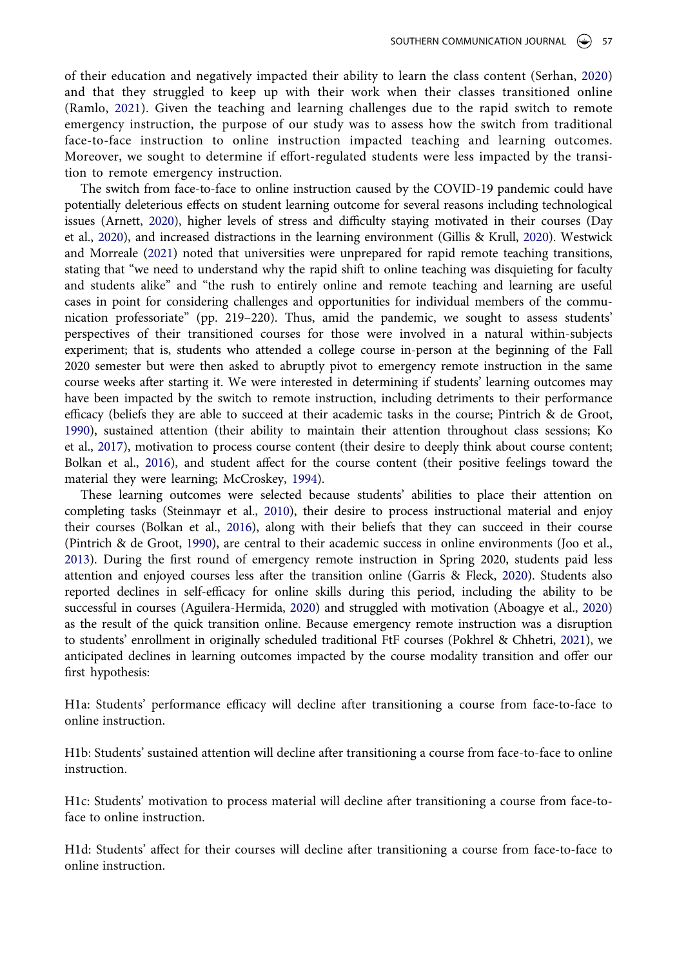<span id="page-2-8"></span><span id="page-2-7"></span>of their education and negatively impacted their ability to learn the class content (Serhan, [2020\)](#page-14-1) and that they struggled to keep up with their work when their classes transitioned online (Ramlo, [2021\)](#page-13-5). Given the teaching and learning challenges due to the rapid switch to remote emergency instruction, the purpose of our study was to assess how the switch from traditional face-to-face instruction to online instruction impacted teaching and learning outcomes. Moreover, we sought to determine if effort-regulated students were less impacted by the transition to remote emergency instruction.

<span id="page-2-10"></span><span id="page-2-2"></span>The switch from face-to-face to online instruction caused by the COVID-19 pandemic could have potentially deleterious effects on student learning outcome for several reasons including technological issues (Arnett, [2020\)](#page-12-1), higher levels of stress and difficulty staying motivated in their courses (Day et al., [2020\)](#page-12-2), and increased distractions in the learning environment (Gillis & Krull, [2020](#page-13-6)). Westwick and Morreale [\(2021\)](#page-14-2) noted that universities were unprepared for rapid remote teaching transitions, stating that "we need to understand why the rapid shift to online teaching was disquieting for faculty and students alike" and "the rush to entirely online and remote teaching and learning are useful cases in point for considering challenges and opportunities for individual members of the communication professoriate" (pp. 219–220). Thus, amid the pandemic, we sought to assess students' perspectives of their transitioned courses for those were involved in a natural within-subjects experiment; that is, students who attended a college course in-person at the beginning of the Fall 2020 semester but were then asked to abruptly pivot to emergency remote instruction in the same course weeks after starting it. We were interested in determining if students' learning outcomes may have been impacted by the switch to remote instruction, including detriments to their performance efficacy (beliefs they are able to succeed at their academic tasks in the course; Pintrich & de Groot, [1990\)](#page-13-7), sustained attention (their ability to maintain their attention throughout class sessions; Ko et al., [2017\)](#page-13-8), motivation to process course content (their desire to deeply think about course content; Bolkan et al., [2016\)](#page-12-3), and student affect for the course content (their positive feelings toward the material they were learning; McCroskey, [1994](#page-13-9)).

<span id="page-2-9"></span><span id="page-2-6"></span><span id="page-2-5"></span><span id="page-2-4"></span><span id="page-2-3"></span><span id="page-2-1"></span>These learning outcomes were selected because students' abilities to place their attention on completing tasks (Steinmayr et al., [2010](#page-14-3)), their desire to process instructional material and enjoy their courses (Bolkan et al., [2016](#page-12-3)), along with their beliefs that they can succeed in their course (Pintrich & de Groot, [1990\)](#page-13-7), are central to their academic success in online environments (Joo et al., [2013\)](#page-13-10). During the first round of emergency remote instruction in Spring 2020, students paid less attention and enjoyed courses less after the transition online (Garris & Fleck, [2020\)](#page-12-4). Students also reported declines in self-efficacy for online skills during this period, including the ability to be successful in courses (Aguilera-Hermida, [2020\)](#page-12-5) and struggled with motivation (Aboagye et al., [2020\)](#page-12-6) as the result of the quick transition online. Because emergency remote instruction was a disruption to students' enrollment in originally scheduled traditional FtF courses (Pokhrel & Chhetri, [2021](#page-13-0)), we anticipated declines in learning outcomes impacted by the course modality transition and offer our first hypothesis:

<span id="page-2-0"></span>H1a: Students' performance efficacy will decline after transitioning a course from face-to-face to online instruction.

H1b: Students' sustained attention will decline after transitioning a course from face-to-face to online instruction.

H1c: Students' motivation to process material will decline after transitioning a course from face-toface to online instruction.

H1d: Students' affect for their courses will decline after transitioning a course from face-to-face to online instruction.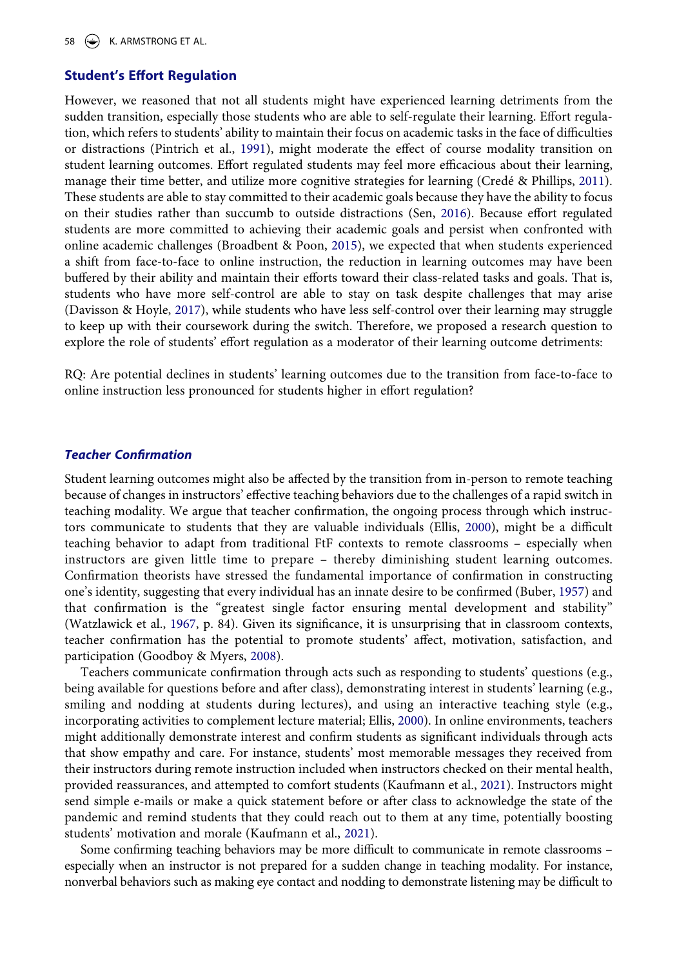58  $(\Leftrightarrow)$  K. ARMSTRONG ET AL.

#### **Student's Effort Regulation**

<span id="page-3-8"></span><span id="page-3-7"></span><span id="page-3-2"></span>However, we reasoned that not all students might have experienced learning detriments from the sudden transition, especially those students who are able to self-regulate their learning. Effort regulation, which refers to students' ability to maintain their focus on academic tasks in the face of difficulties or distractions (Pintrich et al., [1991](#page-13-11)), might moderate the effect of course modality transition on student learning outcomes. Effort regulated students may feel more efficacious about their learning, manage their time better, and utilize more cognitive strategies for learning (Credé & Phillips, [2011](#page-12-7)). These students are able to stay committed to their academic goals because they have the ability to focus on their studies rather than succumb to outside distractions (Sen, [2016](#page-14-4)). Because effort regulated students are more committed to achieving their academic goals and persist when confronted with online academic challenges (Broadbent & Poon, [2015](#page-12-8)), we expected that when students experienced a shift from face-to-face to online instruction, the reduction in learning outcomes may have been buffered by their ability and maintain their efforts toward their class-related tasks and goals. That is, students who have more self-control are able to stay on task despite challenges that may arise (Davisson & Hoyle, [2017](#page-12-9)), while students who have less self-control over their learning may struggle to keep up with their coursework during the switch. Therefore, we proposed a research question to explore the role of students' effort regulation as a moderator of their learning outcome detriments:

<span id="page-3-3"></span><span id="page-3-0"></span>RQ: Are potential declines in students' learning outcomes due to the transition from face-to-face to online instruction less pronounced for students higher in effort regulation?

#### *Teacher Confirmation*

Student learning outcomes might also be affected by the transition from in-person to remote teaching because of changes in instructors' effective teaching behaviors due to the challenges of a rapid switch in teaching modality. We argue that teacher confirmation, the ongoing process through which instructors communicate to students that they are valuable individuals (Ellis, [2000\)](#page-12-10), might be a difficult teaching behavior to adapt from traditional FtF contexts to remote classrooms – especially when instructors are given little time to prepare – thereby diminishing student learning outcomes. Confirmation theorists have stressed the fundamental importance of confirmation in constructing one's identity, suggesting that every individual has an innate desire to be confirmed (Buber, [1957](#page-12-11)) and that confirmation is the "greatest single factor ensuring mental development and stability" (Watzlawick et al., [1967,](#page-14-5) p. 84). Given its significance, it is unsurprising that in classroom contexts, teacher confirmation has the potential to promote students' affect, motivation, satisfaction, and participation (Goodboy & Myers, [2008\)](#page-13-12).

<span id="page-3-9"></span><span id="page-3-5"></span><span id="page-3-4"></span><span id="page-3-1"></span>Teachers communicate confirmation through acts such as responding to students' questions (e.g., being available for questions before and after class), demonstrating interest in students' learning (e.g., smiling and nodding at students during lectures), and using an interactive teaching style (e.g., incorporating activities to complement lecture material; Ellis, [2000](#page-12-10)). In online environments, teachers might additionally demonstrate interest and confirm students as significant individuals through acts that show empathy and care. For instance, students' most memorable messages they received from their instructors during remote instruction included when instructors checked on their mental health, provided reassurances, and attempted to comfort students (Kaufmann et al., [2021\)](#page-13-13). Instructors might send simple e-mails or make a quick statement before or after class to acknowledge the state of the pandemic and remind students that they could reach out to them at any time, potentially boosting students' motivation and morale (Kaufmann et al., [2021\)](#page-13-13).

<span id="page-3-6"></span>Some confirming teaching behaviors may be more difficult to communicate in remote classrooms – especially when an instructor is not prepared for a sudden change in teaching modality. For instance, nonverbal behaviors such as making eye contact and nodding to demonstrate listening may be difficult to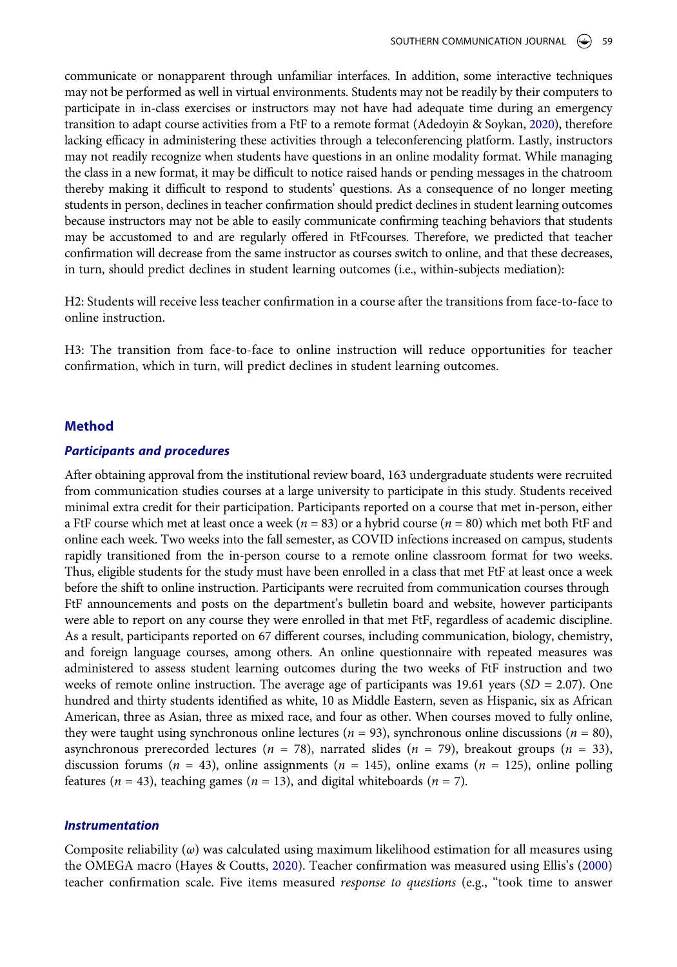communicate or nonapparent through unfamiliar interfaces. In addition, some interactive techniques may not be performed as well in virtual environments. Students may not be readily by their computers to participate in in-class exercises or instructors may not have had adequate time during an emergency transition to adapt course activities from a FtF to a remote format (Adedoyin & Soykan, [2020\)](#page-12-0), therefore lacking efficacy in administering these activities through a teleconferencing platform. Lastly, instructors may not readily recognize when students have questions in an online modality format. While managing the class in a new format, it may be difficult to notice raised hands or pending messages in the chatroom thereby making it difficult to respond to students' questions. As a consequence of no longer meeting students in person, declines in teacher confirmation should predict declines in student learning outcomes because instructors may not be able to easily communicate confirming teaching behaviors that students may be accustomed to and are regularly offered in FtFcourses. Therefore, we predicted that teacher confirmation will decrease from the same instructor as courses switch to online, and that these decreases, in turn, should predict declines in student learning outcomes (i.e., within-subjects mediation):

H2: Students will receive less teacher confirmation in a course after the transitions from face-to-face to online instruction.

H3: The transition from face-to-face to online instruction will reduce opportunities for teacher confirmation, which in turn, will predict declines in student learning outcomes.

#### **Method**

#### *Participants and procedures*

After obtaining approval from the institutional review board, 163 undergraduate students were recruited from communication studies courses at a large university to participate in this study. Students received minimal extra credit for their participation. Participants reported on a course that met in-person, either a FtF course which met at least once a week (*n* = 83) or a hybrid course (*n* = 80) which met both FtF and online each week. Two weeks into the fall semester, as COVID infections increased on campus, students rapidly transitioned from the in-person course to a remote online classroom format for two weeks. Thus, eligible students for the study must have been enrolled in a class that met FtF at least once a week before the shift to online instruction. Participants were recruited from communication courses through FtF announcements and posts on the department's bulletin board and website, however participants were able to report on any course they were enrolled in that met FtF, regardless of academic discipline. As a result, participants reported on 67 different courses, including communication, biology, chemistry, and foreign language courses, among others. An online questionnaire with repeated measures was administered to assess student learning outcomes during the two weeks of FtF instruction and two weeks of remote online instruction. The average age of participants was 19.61 years (*SD =* 2.07). One hundred and thirty students identified as white, 10 as Middle Eastern, seven as Hispanic, six as African American, three as Asian, three as mixed race, and four as other. When courses moved to fully online, they were taught using synchronous online lectures (*n* = 93), synchronous online discussions (*n* = 80), asynchronous prerecorded lectures (*n* = 78), narrated slides (*n* = 79), breakout groups (*n* = 33), discussion forums ( $n = 43$ ), online assignments ( $n = 145$ ), online exams ( $n = 125$ ), online polling features ( $n = 43$ ), teaching games ( $n = 13$ ), and digital whiteboards ( $n = 7$ ).

#### *Instrumentation*

<span id="page-4-0"></span>Composite reliability (*ω*) was calculated using maximum likelihood estimation for all measures using the OMEGA macro (Hayes & Coutts, [2020\)](#page-13-14). Teacher confirmation was measured using Ellis's [\(2000\)](#page-12-10) teacher confirmation scale. Five items measured *response to questions* (e.g., "took time to answer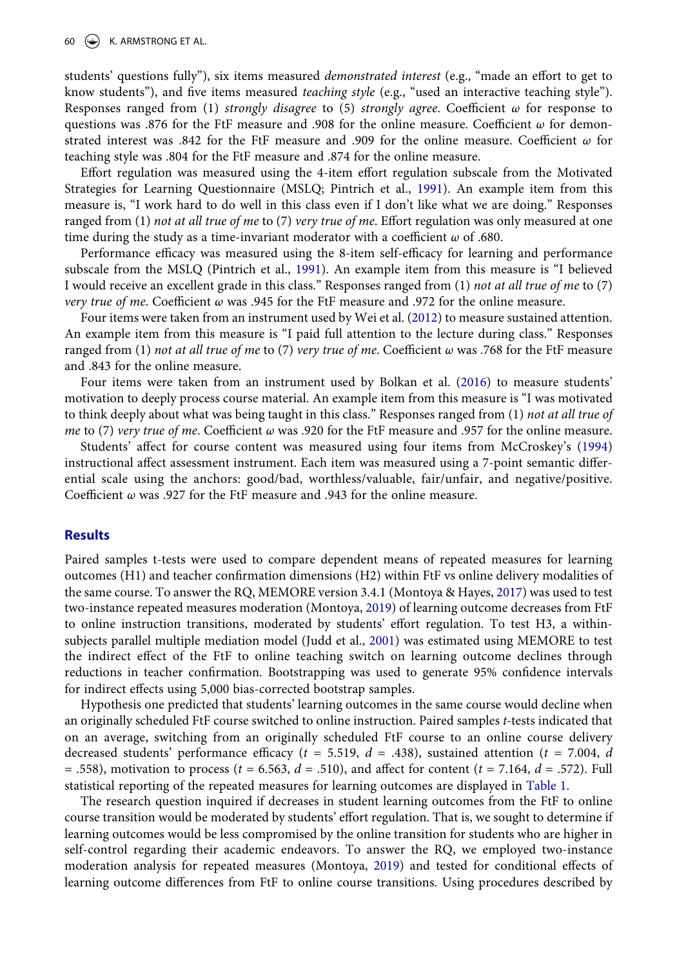students' questions fully"), six items measured *demonstrated interest* (e.g., "made an effort to get to know students"), and five items measured *teaching style* (e.g., "used an interactive teaching style"). Responses ranged from (1) *strongly disagree* to (5) *strongly agree*. Coefficient *ω* for response to questions was .876 for the FtF measure and .908 for the online measure. Coefficient *ω* for demonstrated interest was .842 for the FtF measure and .909 for the online measure. Coefficient *ω* for teaching style was .804 for the FtF measure and .874 for the online measure.

Effort regulation was measured using the 4-item effort regulation subscale from the Motivated Strategies for Learning Questionnaire (MSLQ; Pintrich et al., [1991\)](#page-13-11). An example item from this measure is, "I work hard to do well in this class even if I don't like what we are doing." Responses ranged from (1) *not at all true of me* to (7) *very true of me*. Effort regulation was only measured at one time during the study as a time-invariant moderator with a coefficient *ω* of .680.

Performance efficacy was measured using the 8-item self-efficacy for learning and performance subscale from the MSLQ (Pintrich et al., [1991](#page-13-11)). An example item from this measure is "I believed I would receive an excellent grade in this class." Responses ranged from (1) *not at all true of me* to (7) *very true of me*. Coefficient *ω* was .945 for the FtF measure and .972 for the online measure.

<span id="page-5-3"></span>Four items were taken from an instrument used by Wei et al. ([2012\)](#page-14-6) to measure sustained attention. An example item from this measure is "I paid full attention to the lecture during class." Responses ranged from (1) *not at all true of me* to (7) *very true of me*. Coefficient *ω* was .768 for the FtF measure and .843 for the online measure.

Four items were taken from an instrument used by Bolkan et al. [\(2016](#page-12-3)) to measure students' motivation to deeply process course material. An example item from this measure is "I was motivated to think deeply about what was being taught in this class." Responses ranged from (1) *not at all true of me* to (7) *very true of me*. Coefficient *ω* was .920 for the FtF measure and .957 for the online measure.

Students' affect for course content was measured using four items from McCroskey's [\(1994\)](#page-13-9) instructional affect assessment instrument. Each item was measured using a 7-point semantic differential scale using the anchors: good/bad, worthless/valuable, fair/unfair, and negative/positive. Coefficient *ω* was .927 for the FtF measure and .943 for the online measure.

#### **Results**

<span id="page-5-1"></span>Paired samples t-tests were used to compare dependent means of repeated measures for learning outcomes (H1) and teacher confirmation dimensions (H2) within FtF vs online delivery modalities of the same course. To answer the RQ, MEMORE version 3.4.1 (Montoya & Hayes, [2017\)](#page-13-15) was used to test two-instance repeated measures moderation (Montoya, [2019](#page-13-16)) of learning outcome decreases from FtF to online instruction transitions, moderated by students' effort regulation. To test H3, a withinsubjects parallel multiple mediation model (Judd et al., [2001](#page-13-17)) was estimated using MEMORE to test the indirect effect of the FtF to online teaching switch on learning outcome declines through reductions in teacher confirmation. Bootstrapping was used to generate 95% confidence intervals for indirect effects using 5,000 bias-corrected bootstrap samples.

<span id="page-5-0"></span>Hypothesis one predicted that students' learning outcomes in the same course would decline when an originally scheduled FtF course switched to online instruction. Paired samples *t-*tests indicated that on an average, switching from an originally scheduled FtF course to an online course delivery decreased students' performance efficacy (*t =* 5.519, *d* = .438), sustained attention (*t =* 7.004, *d*  = .558), motivation to process (*t =* 6.563, *d* = .510), and affect for content (*t =* 7.164, *d* = .572). Full statistical reporting of the repeated measures for learning outcomes are displayed in [Table 1.](#page-6-0)

<span id="page-5-2"></span>The research question inquired if decreases in student learning outcomes from the FtF to online course transition would be moderated by students' effort regulation. That is, we sought to determine if learning outcomes would be less compromised by the online transition for students who are higher in self-control regarding their academic endeavors. To answer the RQ, we employed two-instance moderation analysis for repeated measures (Montoya, [2019](#page-13-16)) and tested for conditional effects of learning outcome differences from FtF to online course transitions. Using procedures described by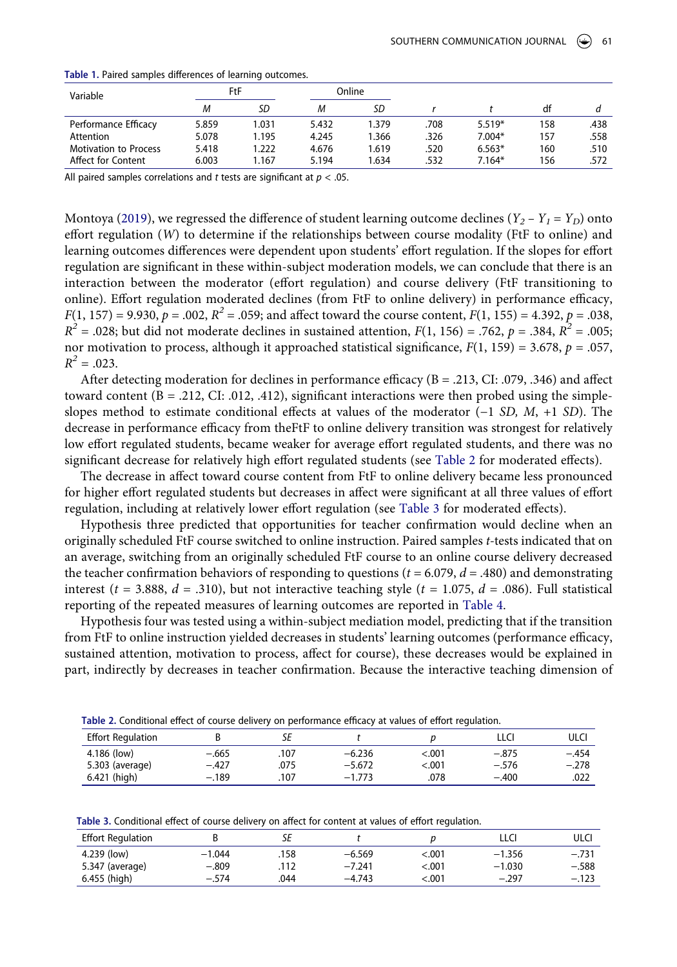| Variable                     | FtF   |       | Online |       |      |          |     |      |
|------------------------------|-------|-------|--------|-------|------|----------|-----|------|
|                              | М     | SD    | М      | SD    |      |          | df  |      |
| Performance Efficacy         | 5.859 | 1.031 | 5.432  | 1.379 | .708 | $5.519*$ | 158 | .438 |
| Attention                    | 5.078 | 1.195 | 4.245  | 1.366 | .326 | $7.004*$ | 157 | .558 |
| <b>Motivation to Process</b> | 5.418 | 1.222 | 4.676  | 1.619 | .520 | $6.563*$ | 160 | .510 |
| Affect for Content           | 6.003 | 1.167 | 5.194  | 1.634 | .532 | $7.164*$ | 156 | .572 |

<span id="page-6-0"></span>**Table 1.** Paired samples differences of learning outcomes.

All paired samples correlations and *t* tests are significant at *p* < .05.

Montoya [\(2019\)](#page-13-16), we regressed the difference of student learning outcome declines  $(Y_2 - Y_1 = Y_D)$  onto effort regulation (*W*) to determine if the relationships between course modality (FtF to online) and learning outcomes differences were dependent upon students' effort regulation. If the slopes for effort regulation are significant in these within-subject moderation models, we can conclude that there is an interaction between the moderator (effort regulation) and course delivery (FtF transitioning to online). Effort regulation moderated declines (from FtF to online delivery) in performance efficacy,  $F(1, 157) = 9.930$ ,  $p = .002$ ,  $R^2 = .059$ ; and affect toward the course content,  $F(1, 155) = 4.392$ ,  $p = .038$ , *R*<sup>2</sup> = .028; but did not moderate declines in sustained attention,  $F(1, 156) = .762$ ,  $p = .384$ ,  $R^2 = .005$ ; nor motivation to process, although it approached statistical significance, *F*(1, 159) = 3.678, *p* = .057,  $R^2 = .023$ .

After detecting moderation for declines in performance efficacy (B = .213, CI: .079, .346) and affect toward content ( $B = .212$ , CI: .012, .412), significant interactions were then probed using the simpleslopes method to estimate conditional effects at values of the moderator (−1 *SD, M*, +1 *SD*). The decrease in performance efficacy from theFtF to online delivery transition was strongest for relatively low effort regulated students, became weaker for average effort regulated students, and there was no significant decrease for relatively high effort regulated students (see [Table 2](#page-6-1) for moderated effects).

The decrease in affect toward course content from FtF to online delivery became less pronounced for higher effort regulated students but decreases in affect were significant at all three values of effort regulation, including at relatively lower effort regulation (see [Table 3](#page-6-2) for moderated effects).

Hypothesis three predicted that opportunities for teacher confirmation would decline when an originally scheduled FtF course switched to online instruction. Paired samples *t-*tests indicated that on an average, switching from an originally scheduled FtF course to an online course delivery decreased the teacher confirmation behaviors of responding to questions ( $t = 6.079$ ,  $d = .480$ ) and demonstrating interest ( $t = 3.888$ ,  $d = .310$ ), but not interactive teaching style ( $t = 1.075$ ,  $d = .086$ ). Full statistical reporting of the repeated measures of learning outcomes are reported in [Table 4.](#page-7-0)

Hypothesis four was tested using a within-subject mediation model, predicting that if the transition from FtF to online instruction yielded decreases in students' learning outcomes (performance efficacy, sustained attention, motivation to process, affect for course), these decreases would be explained in part, indirectly by decreases in teacher confirmation. Because the interactive teaching dimension of

| <b>Table 2.</b> Conditional effect of course delivery on performance emicacy at values of emoti requiation. |         |      |          |       |         |         |  |  |
|-------------------------------------------------------------------------------------------------------------|---------|------|----------|-------|---------|---------|--|--|
| <b>Effort Regulation</b>                                                                                    |         |      |          |       | LLCI    | ulci    |  |  |
| 4.186 (low)                                                                                                 | $-.665$ | .107 | $-6.236$ | <.001 | $-.875$ | $-.454$ |  |  |
| 5.303 (average)                                                                                             | $-.427$ | .075 | $-5.672$ | <.001 | $-.576$ | $-.278$ |  |  |
| 6.421 (high)                                                                                                | $-.189$ | .107 | $-1.773$ | .078  | $-.400$ | .022    |  |  |

<span id="page-6-1"></span>**Table 2.** Conditional effect of course delivery on performance efficacy at values of effort regulation.

<span id="page-6-2"></span>

| Table 3. Conditional effect of course delivery on affect for content at values of effort regulation. |  |  |  |
|------------------------------------------------------------------------------------------------------|--|--|--|
|------------------------------------------------------------------------------------------------------|--|--|--|

| <b>Effort Regulation</b> |          |      |          |        | LLCI     | ulc     |
|--------------------------|----------|------|----------|--------|----------|---------|
| 4.239 (low)              | $-1.044$ | .158 | $-6.569$ | < 0.01 | $-1.356$ | $-.731$ |
| 5.347 (average)          | $-.809$  | .112 | $-7.241$ | <.001  | $-1.030$ | $-.588$ |
| 6.455 (high)             | $-.574$  | .044 | $-4.743$ | < 001  | $-.297$  | $-.123$ |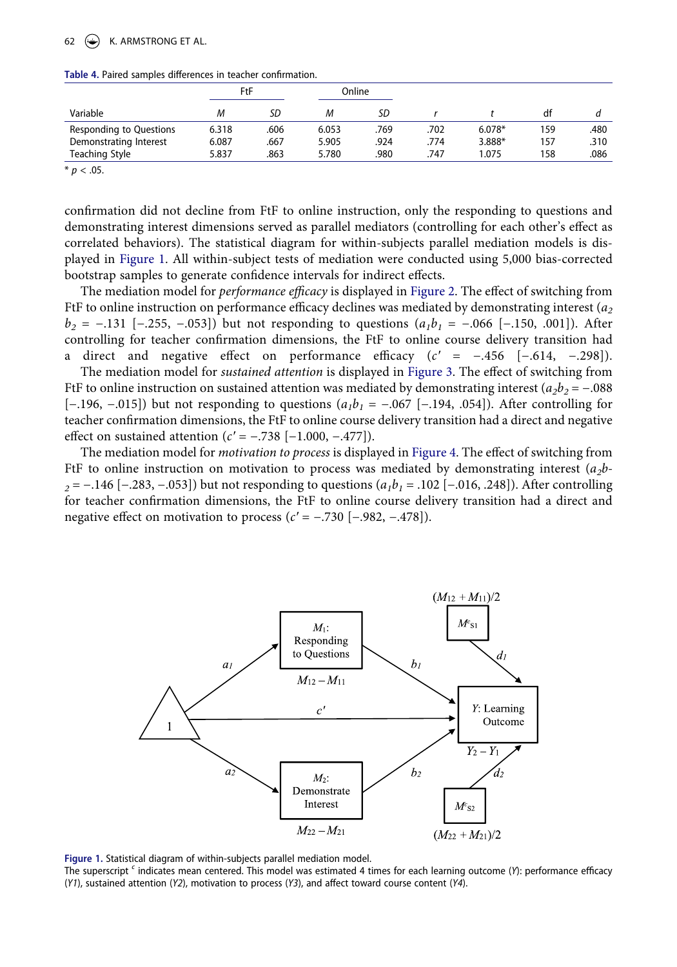## 62  $\left(\bigoplus$  K. ARMSTRONG ET AL.

<span id="page-7-0"></span>

| Table 4. Paired samples differences in teacher confirmation. |  |
|--------------------------------------------------------------|--|
|--------------------------------------------------------------|--|

|                         | FtF   |      |       | Online |      |          |     |      |
|-------------------------|-------|------|-------|--------|------|----------|-----|------|
| Variable                | М     | SD   | М     | SD     |      |          | df  |      |
| Responding to Questions | 6.318 | .606 | 6.053 | .769   | .702 | $6.078*$ | 159 | .480 |
| Demonstrating Interest  | 6.087 | .667 | 5.905 | .924   | .774 | 3.888*   | 157 | .310 |
| Teaching Style          | 5.837 | .863 | 5.780 | .980   | 747  | 1.075    | 158 | .086 |

 $* p < .05$ .

confirmation did not decline from FtF to online instruction, only the responding to questions and demonstrating interest dimensions served as parallel mediators (controlling for each other's effect as correlated behaviors). The statistical diagram for within-subjects parallel mediation models is displayed in [Figure 1.](#page-7-1) All within-subject tests of mediation were conducted using 5,000 bias-corrected bootstrap samples to generate confidence intervals for indirect effects.

The mediation model for *performance efficacy* is displayed in [Figure 2](#page-8-0). The effect of switching from FtF to online instruction on performance efficacy declines was mediated by demonstrating interest (*a2 b<sub>2</sub>* = −.131 [−.255, −.053]) but not responding to questions (*a<sub>1</sub>b<sub>1</sub>* = −.066 [−.150, .001]). After controlling for teacher confirmation dimensions, the FtF to online course delivery transition had a direct and negative effect on performance efficacy (*c′* = −.456 [−.614, −.298]).

The mediation model for *sustained attention* is displayed in [Figure 3.](#page-8-1) The effect of switching from FtF to online instruction on sustained attention was mediated by demonstrating interest  $(a_2b_2 = -.088$ [−.196, −.015]) but not responding to questions ( $a_1b_1 = -.067$  [−.194, .054]). After controlling for teacher confirmation dimensions, the FtF to online course delivery transition had a direct and negative effect on sustained attention (*c′* = −.738 [−1.000, −.477]).

The mediation model for *motivation to process* is displayed in [Figure 4](#page-9-0). The effect of switching from FtF to online instruction on motivation to process was mediated by demonstrating interest (*a2b-2* = −.146 [−.283, −.053]) but not responding to questions  $(a_1b_1 = .102$  [−.016, .248]). After controlling for teacher confirmation dimensions, the FtF to online course delivery transition had a direct and negative effect on motivation to process (*c′* = −.730 [−.982, −.478]).

<span id="page-7-1"></span>

**Figure 1.** Statistical diagram of within-subjects parallel mediation model.

The superscript *c* indicates mean centered. This model was estimated 4 times for each learning outcome (*Y*): performance efficacy (*Y1*), sustained attention (*Y2*), motivation to process (*Y3*), and affect toward course content (*Y4*).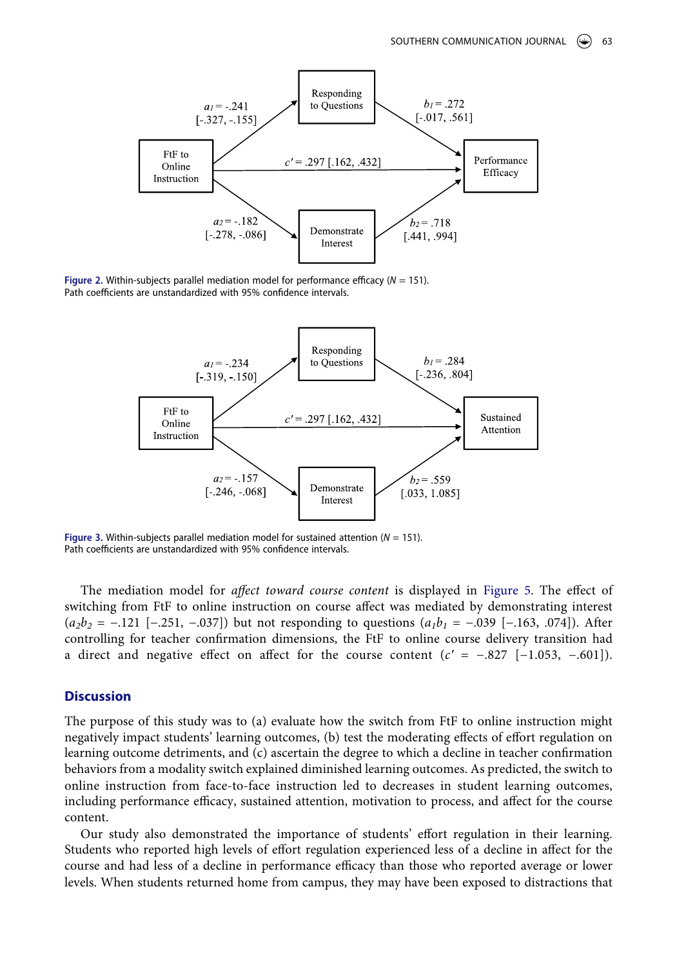<span id="page-8-0"></span>

<span id="page-8-1"></span>**Figure 2.** Within-subjects parallel mediation model for performance efficacy (*N* = 151). Path coefficients are unstandardized with 95% confidence intervals.



**Figure 3.** Within-subjects parallel mediation model for sustained attention (*N* = 151). Path coefficients are unstandardized with 95% confidence intervals.

The mediation model for *affect toward course content* is displayed in [Figure 5](#page-9-1). The effect of switching from FtF to online instruction on course affect was mediated by demonstrating interest (*a<sub>2</sub>b<sub>2</sub>* = −.121 [−.251, −.037]) but not responding to questions (*a<sub>1</sub>b<sub>1</sub>* = −.039 [−.163, .074]). After controlling for teacher confirmation dimensions, the FtF to online course delivery transition had a direct and negative effect on affect for the course content  $(c' = -.827 [-1.053, -.601])$ .

#### **Discussion**

The purpose of this study was to (a) evaluate how the switch from FtF to online instruction might negatively impact students' learning outcomes, (b) test the moderating effects of effort regulation on learning outcome detriments, and (c) ascertain the degree to which a decline in teacher confirmation behaviors from a modality switch explained diminished learning outcomes. As predicted, the switch to online instruction from face-to-face instruction led to decreases in student learning outcomes, including performance efficacy, sustained attention, motivation to process, and affect for the course content.

Our study also demonstrated the importance of students' effort regulation in their learning. Students who reported high levels of effort regulation experienced less of a decline in affect for the course and had less of a decline in performance efficacy than those who reported average or lower levels. When students returned home from campus, they may have been exposed to distractions that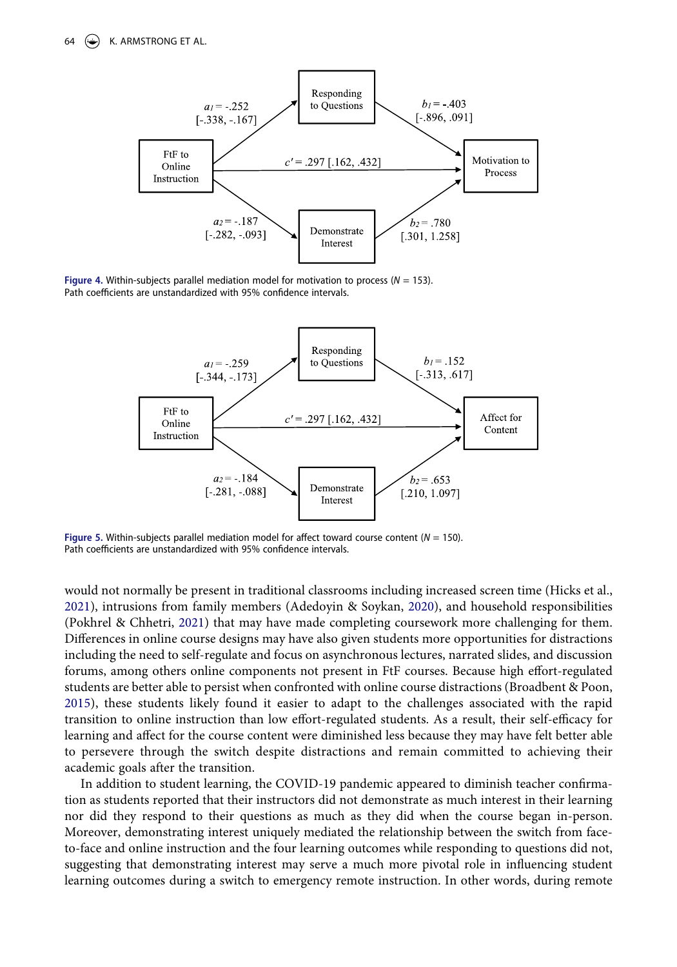<span id="page-9-0"></span>

<span id="page-9-1"></span>**Figure 4.** Within-subjects parallel mediation model for motivation to process (*N* = 153). Path coefficients are unstandardized with 95% confidence intervals.



**Figure 5.** Within-subjects parallel mediation model for affect toward course content (*N* = 150). Path coefficients are unstandardized with 95% confidence intervals.

<span id="page-9-2"></span>would not normally be present in traditional classrooms including increased screen time (Hicks et al., [2021](#page-13-18)), intrusions from family members (Adedoyin & Soykan, [2020](#page-12-0)), and household responsibilities (Pokhrel & Chhetri, [2021](#page-13-0)) that may have made completing coursework more challenging for them. Differences in online course designs may have also given students more opportunities for distractions including the need to self-regulate and focus on asynchronous lectures, narrated slides, and discussion forums, among others online components not present in FtF courses. Because high effort-regulated students are better able to persist when confronted with online course distractions (Broadbent & Poon, [2015](#page-12-8)), these students likely found it easier to adapt to the challenges associated with the rapid transition to online instruction than low effort-regulated students. As a result, their self-efficacy for learning and affect for the course content were diminished less because they may have felt better able to persevere through the switch despite distractions and remain committed to achieving their academic goals after the transition.

In addition to student learning, the COVID-19 pandemic appeared to diminish teacher confirmation as students reported that their instructors did not demonstrate as much interest in their learning nor did they respond to their questions as much as they did when the course began in-person. Moreover, demonstrating interest uniquely mediated the relationship between the switch from faceto-face and online instruction and the four learning outcomes while responding to questions did not, suggesting that demonstrating interest may serve a much more pivotal role in influencing student learning outcomes during a switch to emergency remote instruction. In other words, during remote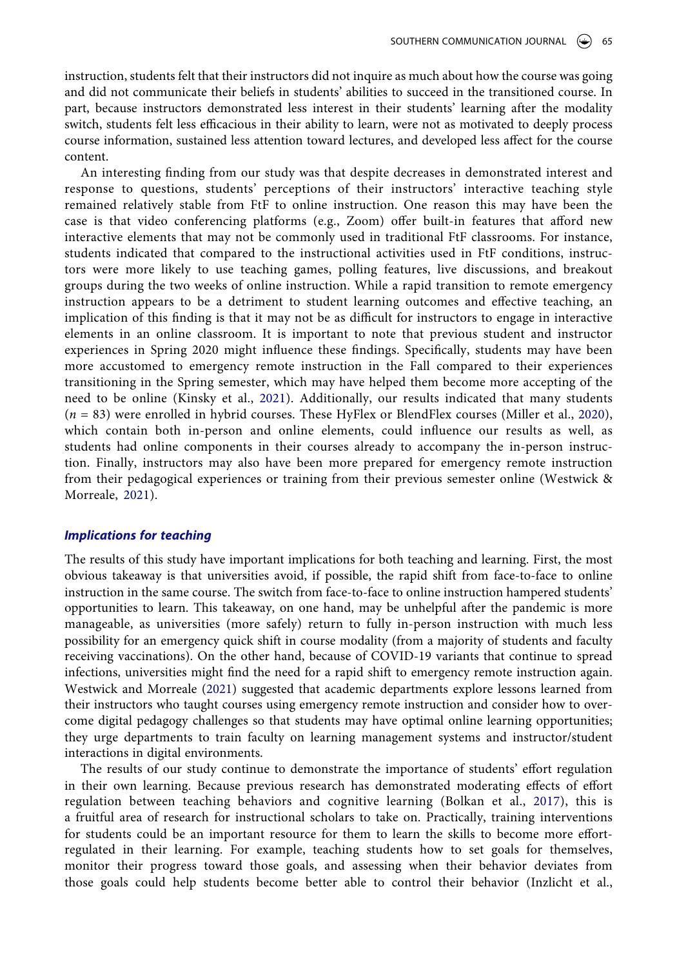instruction, students felt that their instructors did not inquire as much about how the course was going and did not communicate their beliefs in students' abilities to succeed in the transitioned course. In part, because instructors demonstrated less interest in their students' learning after the modality switch, students felt less efficacious in their ability to learn, were not as motivated to deeply process course information, sustained less attention toward lectures, and developed less affect for the course content.

An interesting finding from our study was that despite decreases in demonstrated interest and response to questions, students' perceptions of their instructors' interactive teaching style remained relatively stable from FtF to online instruction. One reason this may have been the case is that video conferencing platforms (e.g., Zoom) offer built-in features that afford new interactive elements that may not be commonly used in traditional FtF classrooms. For instance, students indicated that compared to the instructional activities used in FtF conditions, instructors were more likely to use teaching games, polling features, live discussions, and breakout groups during the two weeks of online instruction. While a rapid transition to remote emergency instruction appears to be a detriment to student learning outcomes and effective teaching, an implication of this finding is that it may not be as difficult for instructors to engage in interactive elements in an online classroom. It is important to note that previous student and instructor experiences in Spring 2020 might influence these findings. Specifically, students may have been more accustomed to emergency remote instruction in the Fall compared to their experiences transitioning in the Spring semester, which may have helped them become more accepting of the need to be online (Kinsky et al., [2021\)](#page-13-19). Additionally, our results indicated that many students (*n* = 83) were enrolled in hybrid courses. These HyFlex or BlendFlex courses (Miller et al., [2020](#page-13-20)), which contain both in-person and online elements, could influence our results as well, as students had online components in their courses already to accompany the in-person instruction. Finally, instructors may also have been more prepared for emergency remote instruction from their pedagogical experiences or training from their previous semester online (Westwick & Morreale, [2021\)](#page-14-2).

#### <span id="page-10-3"></span><span id="page-10-2"></span>*Implications for teaching*

The results of this study have important implications for both teaching and learning. First, the most obvious takeaway is that universities avoid, if possible, the rapid shift from face-to-face to online instruction in the same course. The switch from face-to-face to online instruction hampered students' opportunities to learn. This takeaway, on one hand, may be unhelpful after the pandemic is more manageable, as universities (more safely) return to fully in-person instruction with much less possibility for an emergency quick shift in course modality (from a majority of students and faculty receiving vaccinations). On the other hand, because of COVID-19 variants that continue to spread infections, universities might find the need for a rapid shift to emergency remote instruction again. Westwick and Morreale ([2021\)](#page-14-2) suggested that academic departments explore lessons learned from their instructors who taught courses using emergency remote instruction and consider how to overcome digital pedagogy challenges so that students may have optimal online learning opportunities; they urge departments to train faculty on learning management systems and instructor/student interactions in digital environments.

<span id="page-10-1"></span><span id="page-10-0"></span>The results of our study continue to demonstrate the importance of students' effort regulation in their own learning. Because previous research has demonstrated moderating effects of effort regulation between teaching behaviors and cognitive learning (Bolkan et al., [2017\)](#page-12-12), this is a fruitful area of research for instructional scholars to take on. Practically, training interventions for students could be an important resource for them to learn the skills to become more effortregulated in their learning. For example, teaching students how to set goals for themselves, monitor their progress toward those goals, and assessing when their behavior deviates from those goals could help students become better able to control their behavior (Inzlicht et al.,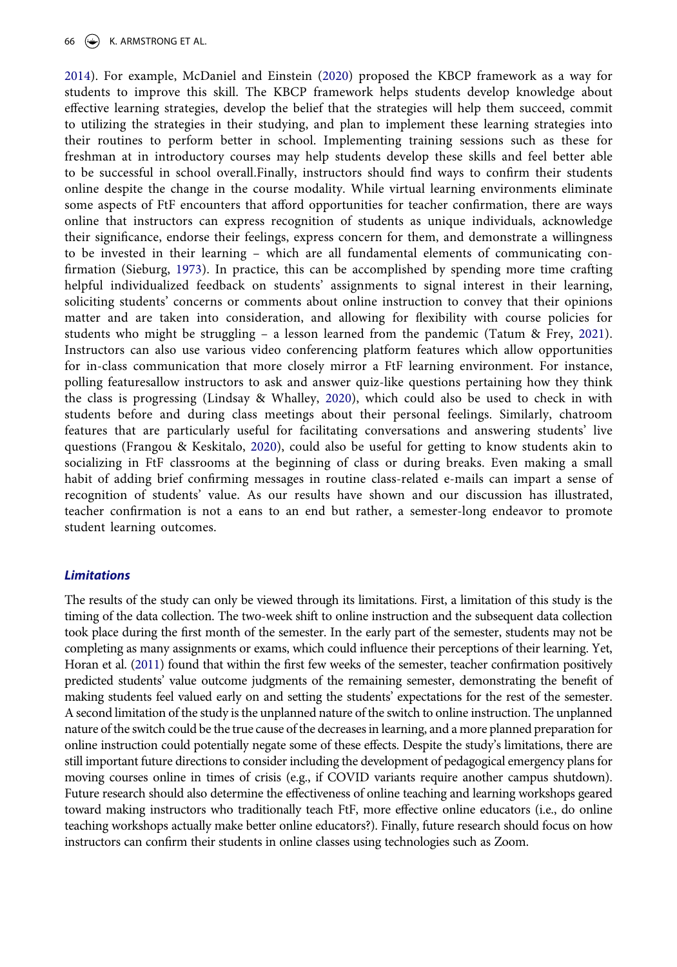#### 66  $(\Leftrightarrow)$  K. ARMSTRONG ET AL.

<span id="page-11-4"></span><span id="page-11-3"></span>[2014](#page-13-21)). For example, McDaniel and Einstein [\(2020](#page-13-22)) proposed the KBCP framework as a way for students to improve this skill. The KBCP framework helps students develop knowledge about effective learning strategies, develop the belief that the strategies will help them succeed, commit to utilizing the strategies in their studying, and plan to implement these learning strategies into their routines to perform better in school. Implementing training sessions such as these for freshman at in introductory courses may help students develop these skills and feel better able to be successful in school overall.Finally, instructors should find ways to confirm their students online despite the change in the course modality. While virtual learning environments eliminate some aspects of FtF encounters that afford opportunities for teacher confirmation, there are ways online that instructors can express recognition of students as unique individuals, acknowledge their significance, endorse their feelings, express concern for them, and demonstrate a willingness to be invested in their learning – which are all fundamental elements of communicating confirmation (Sieburg, [1973](#page-14-7)). In practice, this can be accomplished by spending more time crafting helpful individualized feedback on students' assignments to signal interest in their learning, soliciting students' concerns or comments about online instruction to convey that their opinions matter and are taken into consideration, and allowing for flexibility with course policies for students who might be struggling – a lesson learned from the pandemic (Tatum & Frey, [2021](#page-14-8)). Instructors can also use various video conferencing platform features which allow opportunities for in-class communication that more closely mirror a FtF learning environment. For instance, polling featuresallow instructors to ask and answer quiz-like questions pertaining how they think the class is progressing (Lindsay & Whalley, [2020\)](#page-13-23), which could also be used to check in with students before and during class meetings about their personal feelings. Similarly, chatroom features that are particularly useful for facilitating conversations and answering students' live questions (Frangou & Keskitalo, [2020\)](#page-12-13), could also be useful for getting to know students akin to socializing in FtF classrooms at the beginning of class or during breaks. Even making a small habit of adding brief confirming messages in routine class-related e-mails can impart a sense of recognition of students' value. As our results have shown and our discussion has illustrated, teacher confirmation is not a eans to an end but rather, a semester-long endeavor to promote student learning outcomes.

#### <span id="page-11-5"></span><span id="page-11-2"></span><span id="page-11-0"></span>*Limitations*

<span id="page-11-1"></span>The results of the study can only be viewed through its limitations. First, a limitation of this study is the timing of the data collection. The two-week shift to online instruction and the subsequent data collection took place during the first month of the semester. In the early part of the semester, students may not be completing as many assignments or exams, which could influence their perceptions of their learning. Yet, Horan et al. ([2011\)](#page-13-24) found that within the first few weeks of the semester, teacher confirmation positively predicted students' value outcome judgments of the remaining semester, demonstrating the benefit of making students feel valued early on and setting the students' expectations for the rest of the semester. A second limitation of the study is the unplanned nature of the switch to online instruction. The unplanned nature of the switch could be the true cause of the decreases in learning, and a more planned preparation for online instruction could potentially negate some of these effects. Despite the study's limitations, there are still important future directions to consider including the development of pedagogical emergency plans for moving courses online in times of crisis (e.g., if COVID variants require another campus shutdown). Future research should also determine the effectiveness of online teaching and learning workshops geared toward making instructors who traditionally teach FtF, more effective online educators (i.e., do online teaching workshops actually make better online educators?). Finally, future research should focus on how instructors can confirm their students in online classes using technologies such as Zoom.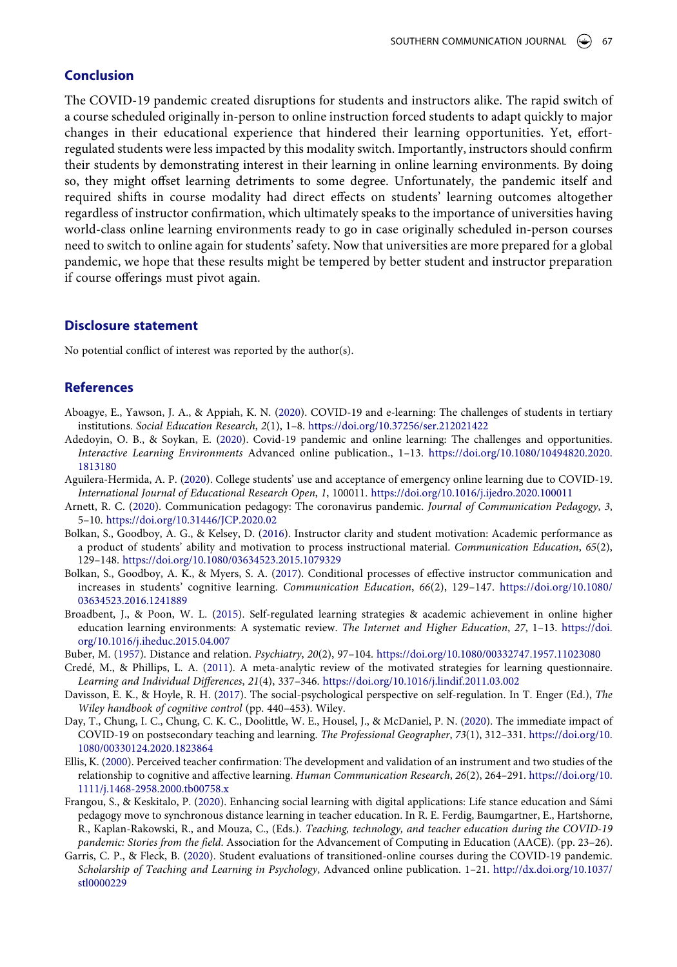## **Conclusion**

The COVID-19 pandemic created disruptions for students and instructors alike. The rapid switch of a course scheduled originally in-person to online instruction forced students to adapt quickly to major changes in their educational experience that hindered their learning opportunities. Yet, effortregulated students were less impacted by this modality switch. Importantly, instructors should confirm their students by demonstrating interest in their learning in online learning environments. By doing so, they might offset learning detriments to some degree. Unfortunately, the pandemic itself and required shifts in course modality had direct effects on students' learning outcomes altogether regardless of instructor confirmation, which ultimately speaks to the importance of universities having world-class online learning environments ready to go in case originally scheduled in-person courses need to switch to online again for students' safety. Now that universities are more prepared for a global pandemic, we hope that these results might be tempered by better student and instructor preparation if course offerings must pivot again.

#### **Disclosure statement**

No potential conflict of interest was reported by the author(s).

#### **References**

- <span id="page-12-6"></span>Aboagye, E., Yawson, J. A., & Appiah, K. N. [\(2020\)](#page-2-0). COVID-19 and e-learning: The challenges of students in tertiary institutions. *Social Education Research*, *2*(1), 1–8. <https://doi.org/10.37256/ser.212021422>
- <span id="page-12-0"></span>Adedoyin, O. B., & Soykan, E. ([2020](#page-1-0)). Covid-19 pandemic and online learning: The challenges and opportunities. *Interactive Learning Environments* Advanced online publication., 1–13. [https://doi.org/10.1080/10494820.2020.](https://doi.org/10.1080/10494820.2020.1813180) [1813180](https://doi.org/10.1080/10494820.2020.1813180)
- <span id="page-12-5"></span>Aguilera-Hermida, A. P. [\(2020](#page-2-0)). College students' use and acceptance of emergency online learning due to COVID-19. *International Journal of Educational Research Open*, *1*, 100011. <https://doi.org/10.1016/j.ijedro.2020.100011>
- <span id="page-12-1"></span>Arnett, R. C. ([2020](#page-1-1)). Communication pedagogy: The coronavirus pandemic. *Journal of Communication Pedagogy*, *3*, 5–10. <https://doi.org/10.31446/JCP.2020.02>
- <span id="page-12-3"></span>Bolkan, S., Goodboy, A. G., & Kelsey, D. [\(2016\)](#page-2-1). Instructor clarity and student motivation: Academic performance as a product of students' ability and motivation to process instructional material. *Communication Education*, *65*(2), 129–148. <https://doi.org/10.1080/03634523.2015.1079329>
- <span id="page-12-12"></span>Bolkan, S., Goodboy, A. K., & Myers, S. A. [\(2017](#page-10-0)). Conditional processes of effective instructor communication and increases in students' cognitive learning. *Communication Education*, *66*(2), 129–147. [https://doi.org/10.1080/](https://doi.org/10.1080/03634523.2016.1241889) [03634523.2016.1241889](https://doi.org/10.1080/03634523.2016.1241889)
- <span id="page-12-8"></span>Broadbent, J., & Poon, W. L. ([2015](#page-3-0)). Self-regulated learning strategies & academic achievement in online higher education learning environments: A systematic review. *The Internet and Higher Education*, *27*, 1–13. [https://doi.](https://doi.org/10.1016/j.iheduc.2015.04.007) [org/10.1016/j.iheduc.2015.04.007](https://doi.org/10.1016/j.iheduc.2015.04.007)
- <span id="page-12-11"></span>Buber, M. ([1957](#page-3-1)). Distance and relation. *Psychiatry*, *20*(2), 97–104. <https://doi.org/10.1080/00332747.1957.11023080>
- <span id="page-12-7"></span>Credé, M., & Phillips, L. A. ([2011](#page-3-2)). A meta-analytic review of the motivated strategies for learning questionnaire. *Learning and Individual Differences*, *21*(4), 337–346. <https://doi.org/10.1016/j.lindif.2011.03.002>
- <span id="page-12-9"></span>Davisson, E. K., & Hoyle, R. H. [\(2017\)](#page-3-3). The social-psychological perspective on self-regulation. In T. Enger (Ed.), *The Wiley handbook of cognitive control* (pp. 440–453). Wiley.
- <span id="page-12-2"></span>Day, T., Chung, I. C., Chung, C. K. C., Doolittle, W. E., Housel, J., & McDaniel, P. N. ([2020](#page-2-2)). The immediate impact of COVID-19 on postsecondary teaching and learning. *The Professional Geographer*, *73*(1), 312–331. [https://doi.org/10.](https://doi.org/10.1080/00330124.2020.1823864) [1080/00330124.2020.1823864](https://doi.org/10.1080/00330124.2020.1823864)
- <span id="page-12-10"></span>Ellis, K. ([2000\)](#page-3-4). Perceived teacher confirmation: The development and validation of an instrument and two studies of the relationship to cognitive and affective learning. *Human Communication Research*, *26*(2), 264–291. [https://doi.org/10.](https://doi.org/10.1111/j.1468-2958.2000.tb00758.x) [1111/j.1468-2958.2000.tb00758.x](https://doi.org/10.1111/j.1468-2958.2000.tb00758.x)
- <span id="page-12-13"></span>Frangou, S., & Keskitalo, P. [\(2020\)](#page-11-0). Enhancing social learning with digital applications: Life stance education and Sámi pedagogy move to synchronous distance learning in teacher education. In R. E. Ferdig, Baumgartner, E., Hartshorne, R., Kaplan-Rakowski, R., and Mouza, C., (Eds.). *Teaching, technology, and teacher education during the COVID-19 pandemic: Stories from the field*. Association for the Advancement of Computing in Education (AACE). (pp. 23–26).
- <span id="page-12-4"></span>Garris, C. P., & Fleck, B. ([2020\)](#page-2-3). Student evaluations of transitioned-online courses during the COVID-19 pandemic. *Scholarship of Teaching and Learning in Psychology*, Advanced online publication. 1–21. [http://dx.doi.org/10.1037/](http://dx.doi.org/10.1037/stl0000229)  [stl0000229](http://dx.doi.org/10.1037/stl0000229)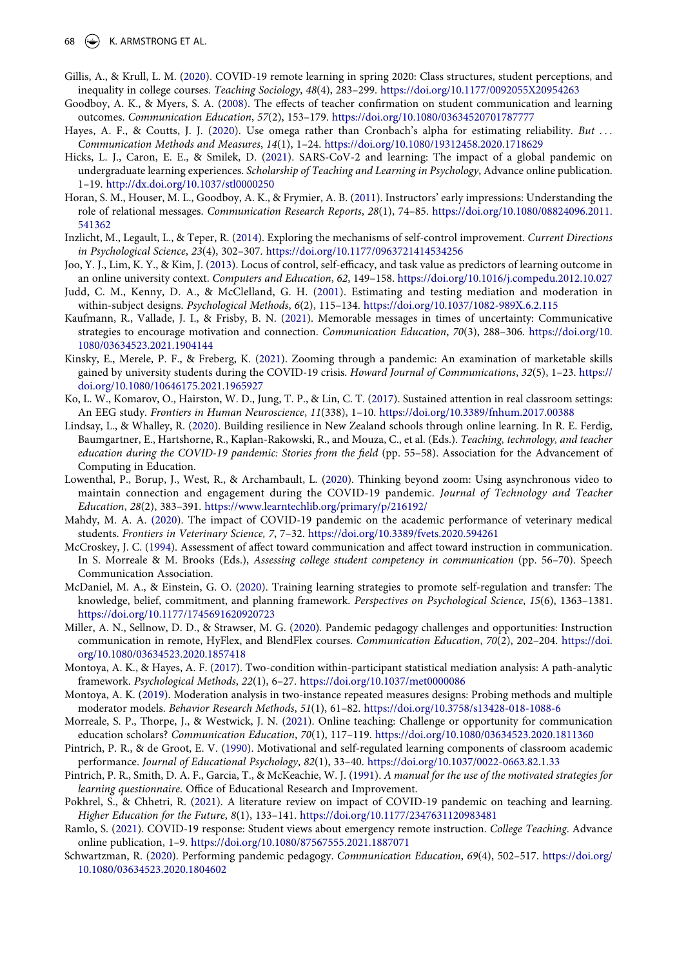- <span id="page-13-6"></span>Gillis, A., & Krull, L. M. ([2020](#page-2-2)). COVID-19 remote learning in spring 2020: Class structures, student perceptions, and inequality in college courses. *Teaching Sociology*, *48*(4), 283–299. <https://doi.org/10.1177/0092055X20954263>
- <span id="page-13-12"></span>Goodboy, A. K., & Myers, S. A. [\(2008](#page-3-5)). The effects of teacher confirmation on student communication and learning outcomes. *Communication Education*, *57*(2), 153–179. <https://doi.org/10.1080/03634520701787777>
- <span id="page-13-14"></span>Hayes, A. F., & Coutts, J. J. ([2020\)](#page-4-0). Use omega rather than Cronbach's alpha for estimating reliability. *But ... Communication Methods and Measures*, *14*(1), 1–24. <https://doi.org/10.1080/19312458.2020.1718629>
- <span id="page-13-18"></span>Hicks, L. J., Caron, E. E., & Smilek, D. ([2021](#page-9-2)). SARS-CoV-2 and learning: The impact of a global pandemic on undergraduate learning experiences. *Scholarship of Teaching and Learning in Psychology*, Advance online publication. 1–19. <http://dx.doi.org/10.1037/stl0000250>
- <span id="page-13-24"></span>Horan, S. M., Houser, M. L., Goodboy, A. K., & Frymier, A. B. ([2011](#page-11-1)). Instructors' early impressions: Understanding the role of relational messages. *Communication Research Reports*, *28*(1), 74–85. [https://doi.org/10.1080/08824096.2011.](https://doi.org/10.1080/08824096.2011.541362)  [541362](https://doi.org/10.1080/08824096.2011.541362)
- <span id="page-13-21"></span>Inzlicht, M., Legault, L., & Teper, R. ([2014](#page-10-1)). Exploring the mechanisms of self-control improvement. *Current Directions in Psychological Science*, *23*(4), 302–307. <https://doi.org/10.1177/0963721414534256>
- <span id="page-13-10"></span>Joo, Y. J., Lim, K. Y., & Kim, J. [\(2013\)](#page-2-4). Locus of control, self-efficacy, and task value as predictors of learning outcome in an online university context. *Computers and Education*, *62*, 149–158. <https://doi.org/10.1016/j.compedu.2012.10.027>
- <span id="page-13-17"></span>Judd, C. M., Kenny, D. A., & McClelland, G. H. [\(2001\)](#page-5-0). Estimating and testing mediation and moderation in within-subject designs. *Psychological Methods*, *6*(2), 115–134. <https://doi.org/10.1037/1082-989X.6.2.115>
- <span id="page-13-13"></span>Kaufmann, R., Vallade, J. I., & Frisby, B. N. [\(2021](#page-3-6)). Memorable messages in times of uncertainty: Communicative strategies to encourage motivation and connection. *Communication Education*, *70*(3), 288–306. [https://doi.org/10.](https://doi.org/10.1080/03634523.2021.1904144) [1080/03634523.2021.1904144](https://doi.org/10.1080/03634523.2021.1904144)
- <span id="page-13-19"></span>Kinsky, E., Merele, P. F., & Freberg, K. ([2021](#page-10-2)). Zooming through a pandemic: An examination of marketable skills gained by university students during the COVID-19 crisis. *Howard Journal of Communications*, *32*(5), 1–23. [https://](https://doi.org/10.1080/10646175.2021.1965927) [doi.org/10.1080/10646175.2021.1965927](https://doi.org/10.1080/10646175.2021.1965927)
- <span id="page-13-8"></span>Ko, L. W., Komarov, O., Hairston, W. D., Jung, T. P., & Lin, C. T. ([2017](#page-2-5)). Sustained attention in real classroom settings: An EEG study. *Frontiers in Human Neuroscience*, *11*(338), 1–10. <https://doi.org/10.3389/fnhum.2017.00388>
- <span id="page-13-23"></span>Lindsay, L., & Whalley, R. [\(2020](#page-11-2)). Building resilience in New Zealand schools through online learning. In R. E. Ferdig, Baumgartner, E., Hartshorne, R., Kaplan-Rakowski, R., and Mouza, C., et al. (Eds.). *Teaching, technology, and teacher education during the COVID-19 pandemic: Stories from the field (pp. 55-58). Association for the Advancement of* Computing in Education.
- <span id="page-13-1"></span>Lowenthal, P., Borup, J., West, R., & Archambault, L. [\(2020\)](#page-1-2). Thinking beyond zoom: Using asynchronous video to maintain connection and engagement during the COVID-19 pandemic. *Journal of Technology and Teacher Education*, *28*(2), 383–391. <https://www.learntechlib.org/primary/p/216192/>
- <span id="page-13-4"></span>Mahdy, M. A. A. [\(2020\)](#page-1-3). The impact of COVID-19 pandemic on the academic performance of veterinary medical students. *Frontiers in Veterinary Science, 7*, 7–32. <https://doi.org/10.3389/fvets.2020.594261>
- <span id="page-13-9"></span>McCroskey, J. C. ([1994](#page-2-6)). Assessment of affect toward communication and affect toward instruction in communication. In S. Morreale & M. Brooks (Eds.), *Assessing college student competency in communication* (pp. 56–70). Speech Communication Association.
- <span id="page-13-22"></span>McDaniel, M. A., & Einstein, G. O. [\(2020\)](#page-11-3). Training learning strategies to promote self-regulation and transfer: The knowledge, belief, commitment, and planning framework. *Perspectives on Psychological Science*, *15*(6), 1363–1381. <https://doi.org/10.1177/1745691620920723>
- <span id="page-13-20"></span>Miller, A. N., Sellnow, D. D., & Strawser, M. G. ([2020\)](#page-10-3). Pandemic pedagogy challenges and opportunities: Instruction communication in remote, HyFlex, and BlendFlex courses. *Communication Education*, *70*(2), 202–204. [https://doi.](https://doi.org/10.1080/03634523.2020.1857418) [org/10.1080/03634523.2020.1857418](https://doi.org/10.1080/03634523.2020.1857418)
- <span id="page-13-15"></span>Montoya, A. K., & Hayes, A. F. [\(2017\)](#page-5-1). Two-condition within-participant statistical mediation analysis: A path-analytic framework. *Psychological Methods*, *22*(1), 6–27. <https://doi.org/10.1037/met0000086>
- <span id="page-13-16"></span>Montoya, A. K. ([2019](#page-5-2)). Moderation analysis in two-instance repeated measures designs: Probing methods and multiple moderator models. *Behavior Research Methods*, *51*(1), 61–82. <https://doi.org/10.3758/s13428-018-1088-6>
- <span id="page-13-2"></span>Morreale, S. P., Thorpe, J., & Westwick, J. N. ([2021](#page-1-4)). Online teaching: Challenge or opportunity for communication education scholars? *Communication Education*, *70*(1), 117–119. <https://doi.org/10.1080/03634523.2020.1811360>
- <span id="page-13-7"></span>Pintrich, P. R., & de Groot, E. V. ([1990](#page-2-4)). Motivational and self-regulated learning components of classroom academic performance. *Journal of Educational Psychology*, *82*(1), 33–40. <https://doi.org/10.1037/0022-0663.82.1.33>
- <span id="page-13-11"></span>Pintrich, P. R., Smith, D. A. F., Garcia, T., & McKeachie, W. J. ([1991\)](#page-3-7). *A manual for the use of the motivated strategies for learning questionnaire*. Office of Educational Research and Improvement.
- <span id="page-13-0"></span>Pokhrel, S., & Chhetri, R. ([2021](#page-1-0)). A literature review on impact of COVID-19 pandemic on teaching and learning. *Higher Education for the Future*, *8*(1), 133–141. <https://doi.org/10.1177/2347631120983481>
- <span id="page-13-5"></span>Ramlo, S. [\(2021](#page-2-7)). COVID-19 response: Student views about emergency remote instruction. *College Teaching*. Advance online publication, 1–9. <https://doi.org/10.1080/87567555.2021.1887071>
- <span id="page-13-3"></span>Schwartzman, R. ([2020](#page-1-5)). Performing pandemic pedagogy. *Communication Education*, *69*(4), 502–517. [https://doi.org/](https://doi.org/10.1080/03634523.2020.1804602) [10.1080/03634523.2020.1804602](https://doi.org/10.1080/03634523.2020.1804602)